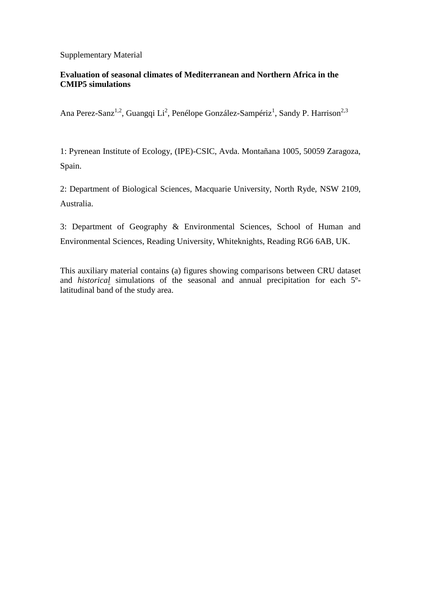## Supplementary Material

## **Evaluation of seasonal climates of Mediterranean and Northern Africa in the CMIP5 simulations**

Ana Perez-Sanz<sup>1,2</sup>, Guangqi Li<sup>2</sup>, Penélope González-Sampériz<sup>1</sup>, Sandy P. Harrison<sup>2,3</sup>

1: Pyrenean Institute of Ecology, (IPE)-CSIC, Avda. Montañana 1005, 50059 Zaragoza, Spain.

2: Department of Biological Sciences, Macquarie University, North Ryde, NSW 2109, Australia.

3: Department of Geography & Environmental Sciences, School of Human and Environmental Sciences, Reading University, Whiteknights, Reading RG6 6AB, UK.

This auxiliary material contains (a) figures showing comparisons between CRU dataset and *historical* simulations of the seasonal and annual precipitation for each 5ºlatitudinal band of the study area.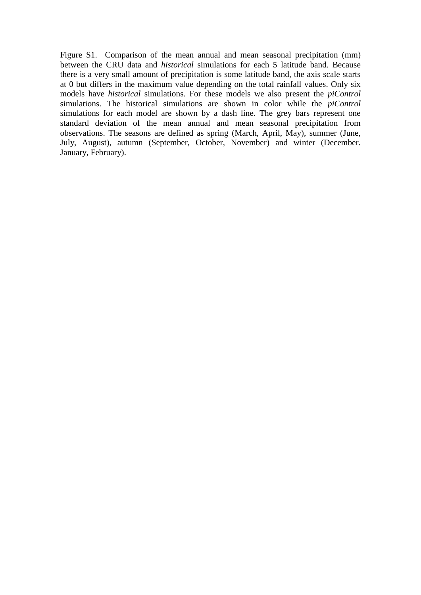Figure S1. Comparison of the mean annual and mean seasonal precipitation (mm) between the CRU data and *historical* simulations for each 5 latitude band. Because there is a very small amount of precipitation is some latitude band, the axis scale starts at 0 but differs in the maximum value depending on the total rainfall values. Only six models have *historical* simulations. For these models we also present the *piControl*  simulations. The historical simulations are shown in color while the *piControl*  simulations for each model are shown by a dash line. The grey bars represent one standard deviation of the mean annual and mean seasonal precipitation from observations. The seasons are defined as spring (March, April, May), summer (June, July, August), autumn (September, October, November) and winter (December. January, February).